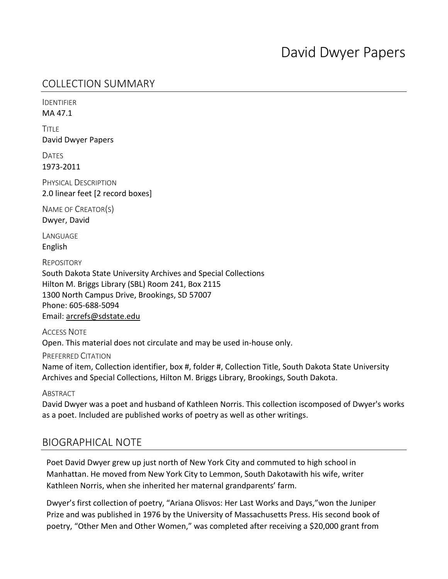## COLLECTION SUMMARY

IDENTIFIER MA 47.1

**TITLE** David Dwyer Papers

DATES 1973-2011

PHYSICAL DESCRIPTION 2.0 linear feet [2 record boxes]

NAME OF CREATOR(S) Dwyer, David

**LANGUAGE** English

REPOSITORY

South Dakota State University Archives and Special Collections Hilton M. Briggs Library (SBL) Room 241, Box 2115 1300 North Campus Drive, Brookings, SD 57007 Phone: 605-688-5094 Email: arcrefs@sdstate.edu

ACCESS NOTE Open. This material does not circulate and may be used in-house only.

PREFERRED CITATION

Name of item, Collection identifier, box #, folder #, Collection Title, South Dakota State University Archives and Special Collections, Hilton M. Briggs Library, Brookings, South Dakota.

**ABSTRACT** 

David Dwyer was a poet and husband of Kathleen Norris. This collection iscomposed of Dwyer's works as a poet. Included are published works of poetry as well as other writings.

### BIOGRAPHICAL NOTE

Poet David Dwyer grew up just north of New York City and commuted to high school in Manhattan. He moved from New York City to Lemmon, South Dakotawith his wife, writer Kathleen Norris, when she inherited her maternal grandparents' farm.

Dwyer's first collection of poetry, "Ariana Olisvos: Her Last Works and Days,"won the Juniper Prize and was published in 1976 by the University of Massachusetts Press. His second book of poetry, "Other Men and Other Women," was completed after receiving a \$20,000 grant from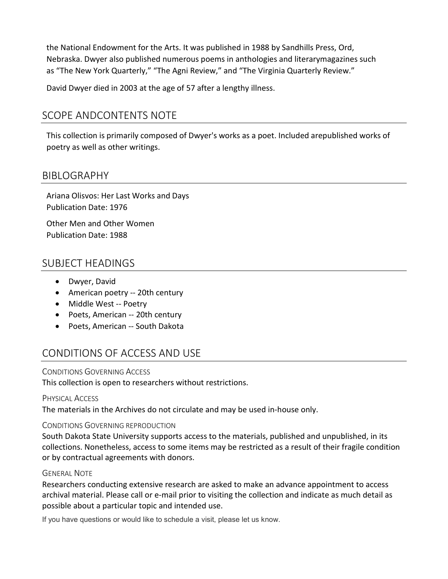the National Endowment for the Arts. It was published in 1988 by Sandhills Press, Ord, Nebraska. Dwyer also published numerous poems in anthologies and literarymagazines such as "The New York Quarterly," "The Agni Review," and "The Virginia Quarterly Review."

David Dwyer died in 2003 at the age of 57 after a lengthy illness.

## SCOPE ANDCONTENTS NOTE

This collection is primarily composed of Dwyer's works as a poet. Included arepublished works of poetry as well as other writings.

### BIBLOGRAPHY

Ariana Olisvos: Her Last Works and Days Publication Date: 1976

Other Men and Other Women Publication Date: 1988

### SUBJECT HEADINGS

- Dwyer, David
- American poetry -- 20th century
- Middle West -- Poetry
- Poets, American -- 20th century
- Poets, American -- South Dakota

# CONDITIONS OF ACCESS AND USE

CONDITIONS GOVERNING ACCESS

This collection is open to researchers without restrictions.

#### PHYSICAL ACCESS

The materials in the Archives do not circulate and may be used in-house only.

#### CONDITIONS GOVERNING REPRODUCTION

South Dakota State University supports access to the materials, published and unpublished, in its collections. Nonetheless, access to some items may be restricted as a result of their fragile condition or by contractual agreements with donors.

#### GENERAL NOTE

Researchers conducting extensive research are asked to make an advance appointment to access archival material. Please call or e-mail prior to visiting the collection and indicate as much detail as possible about a particular topic and intended use.

If you have questions or would like to schedule a visit, please let us know.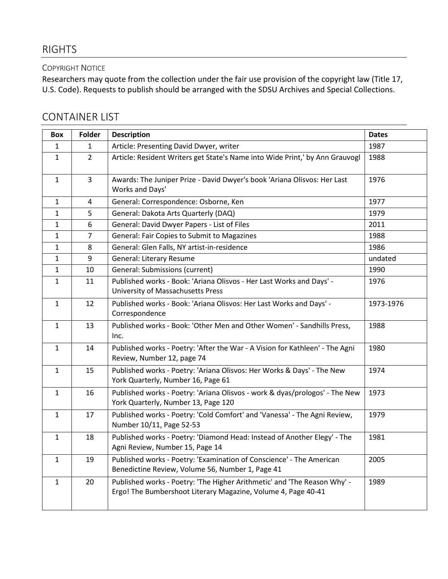## RIGHTS

#### COPYRIGHT NOTICE

Researchers may quote from the collection under the fair use provision of the copyright law (Title 17, U.S. Code). Requests to publish should be arranged with the SDSU Archives and Special Collections.

## CONTAINER LIST

| Box          | Folder         | <b>Description</b>                                                                                                                        | <b>Dates</b> |
|--------------|----------------|-------------------------------------------------------------------------------------------------------------------------------------------|--------------|
| 1            | 1              | Article: Presenting David Dwyer, writer                                                                                                   | 1987         |
| 1            | $\overline{2}$ | Article: Resident Writers get State's Name into Wide Print,' by Ann Grauvogl                                                              | 1988         |
| $\mathbf{1}$ | $\overline{3}$ | Awards: The Juniper Prize - David Dwyer's book 'Ariana Olisvos: Her Last<br>Works and Days'                                               | 1976         |
| 1            | $\sqrt{4}$     | General: Correspondence: Osborne, Ken                                                                                                     | 1977         |
| $\mathbf{1}$ | 5              | General: Dakota Arts Quarterly (DAQ)                                                                                                      | 1979         |
| 1            | 6              | General: David Dwyer Papers - List of Files                                                                                               | 2011         |
| 1            | $\overline{7}$ | General: Fair Copies to Submit to Magazines                                                                                               | 1988         |
| 1            | 8              | General: Glen Falls, NY artist-in-residence                                                                                               | 1986         |
| $\mathbf{1}$ | 9              | General: Literary Resume                                                                                                                  | undated      |
| $\mathbf{1}$ | 10             | General: Submissions (current)                                                                                                            | 1990         |
| $\mathbf{1}$ | 11             | Published works - Book: 'Ariana Olisvos - Her Last Works and Days' -<br>University of Massachusetts Press                                 | 1976         |
| $\mathbf{1}$ | 12             | Published works - Book: 'Ariana Olisvos: Her Last Works and Days' -<br>Correspondence                                                     | 1973-1976    |
| $\mathbf{1}$ | 13             | Published works - Book: 'Other Men and Other Women' - Sandhills Press,<br>Inc.                                                            | 1988         |
| $\mathbf{1}$ | 14             | Published works - Poetry: 'After the War - A Vision for Kathleen' - The Agni<br>Review, Number 12, page 74                                | 1980         |
| $\mathbf{1}$ | 15             | Published works - Poetry: 'Ariana Olisvos: Her Works & Days' - The New<br>York Quarterly, Number 16, Page 61                              | 1974         |
| $\mathbf{1}$ | 16             | Published works - Poetry: 'Ariana Olisvos - work & dyas/prologos' - The New<br>York Quarterly, Number 13, Page 120                        | 1973         |
| $\mathbf{1}$ | 17             | Published works - Poetry: 'Cold Comfort' and 'Vanessa' - The Agni Review,<br>Number 10/11, Page 52-53                                     | 1979         |
| $\mathbf{1}$ | 18             | Published works - Poetry: 'Diamond Head: Instead of Another Elegy' - The<br>Agni Review, Number 15, Page 14                               | 1981         |
| $\mathbf{1}$ | 19             | Published works - Poetry: 'Examination of Conscience' - The American<br>Benedictine Review, Volume 56, Number 1, Page 41                  | 2005         |
| $\mathbf{1}$ | 20             | Published works - Poetry: 'The Higher Arithmetic' and 'The Reason Why' -<br>Ergo! The Bumbershoot Literary Magazine, Volume 4, Page 40-41 | 1989         |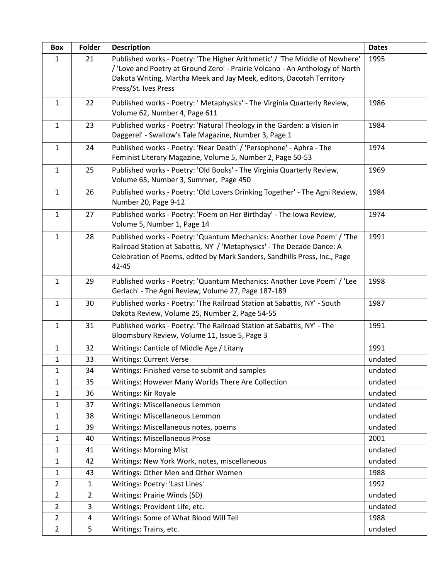| Box            | Folder         | <b>Description</b>                                                                                                                                                                                                                                          | <b>Dates</b> |
|----------------|----------------|-------------------------------------------------------------------------------------------------------------------------------------------------------------------------------------------------------------------------------------------------------------|--------------|
| $\mathbf{1}$   | 21             | Published works - Poetry: 'The Higher Arithmetic' / 'The Middle of Nowhere'<br>/ 'Love and Poetry at Ground Zero' - Prairie Volcano - An Anthology of North<br>Dakota Writing, Martha Meek and Jay Meek, editors, Dacotah Territory<br>Press/St. Ives Press | 1995         |
| $\mathbf{1}$   | 22             | Published works - Poetry: ' Metaphysics' - The Virginia Quarterly Review,<br>Volume 62, Number 4, Page 611                                                                                                                                                  | 1986         |
| $\mathbf{1}$   | 23             | Published works - Poetry: 'Natural Theology in the Garden: a Vision in<br>Daggerel' - Swallow's Tale Magazine, Number 3, Page 1                                                                                                                             | 1984         |
| $\mathbf{1}$   | 24             | Published works - Poetry: 'Near Death' / 'Persophone' - Aphra - The<br>Feminist Literary Magazine, Volume 5, Number 2, Page 50-53                                                                                                                           | 1974         |
| $\mathbf{1}$   | 25             | Published works - Poetry: 'Old Books' - The Virginia Quarterly Review,<br>Volume 65, Number 3, Summer, Page 450                                                                                                                                             | 1969         |
| $\mathbf{1}$   | 26             | Published works - Poetry: 'Old Lovers Drinking Together' - The Agni Review,<br>Number 20, Page 9-12                                                                                                                                                         | 1984         |
| $\mathbf{1}$   | 27             | Published works - Poetry: 'Poem on Her Birthday' - The Iowa Review,<br>Volume 5, Number 1, Page 14                                                                                                                                                          | 1974         |
| $\mathbf{1}$   | 28             | Published works - Poetry: 'Quantum Mechanics: Another Love Poem' / 'The<br>Railroad Station at Sabattis, NY' / 'Metaphysics' - The Decade Dance: A<br>Celebration of Poems, edited by Mark Sanders, Sandhills Press, Inc., Page<br>42-45                    | 1991         |
| $\mathbf{1}$   | 29             | Published works - Poetry: 'Quantum Mechanics: Another Love Poem' / 'Lee<br>Gerlach' - The Agni Review, Volume 27, Page 187-189                                                                                                                              | 1998         |
| $\mathbf{1}$   | 30             | Published works - Poetry: 'The Railroad Station at Sabattis, NY' - South<br>Dakota Review, Volume 25, Number 2, Page 54-55                                                                                                                                  | 1987         |
| $\mathbf{1}$   | 31             | Published works - Poetry: 'The Railroad Station at Sabattis, NY' - The<br>Bloomsbury Review, Volume 11, Issue 5, Page 3                                                                                                                                     | 1991         |
| $\mathbf{1}$   | 32             | Writings: Canticle of Middle Age / Litany                                                                                                                                                                                                                   | 1991         |
| $1\,$          | 33             | <b>Writings: Current Verse</b>                                                                                                                                                                                                                              | undated      |
| 1              | 34             | Writings: Finished verse to submit and samples                                                                                                                                                                                                              | undated      |
| 1              | 35             | Writings: However Many Worlds There Are Collection                                                                                                                                                                                                          | undated      |
| $\mathbf{1}$   | 36             | Writings: Kir Royale                                                                                                                                                                                                                                        | undated      |
| $\mathbf{1}$   | 37             | Writings: Miscellaneous Lemmon                                                                                                                                                                                                                              | undated      |
| $\mathbf{1}$   | 38             | Writings: Miscellaneous Lemmon                                                                                                                                                                                                                              | undated      |
| $\mathbf{1}$   | 39             | Writings: Miscellaneous notes, poems                                                                                                                                                                                                                        | undated      |
| 1              | 40             | <b>Writings: Miscellaneous Prose</b>                                                                                                                                                                                                                        | 2001         |
| $\mathbf{1}$   | 41             | <b>Writings: Morning Mist</b>                                                                                                                                                                                                                               | undated      |
| $\mathbf{1}$   | 42             | Writings: New York Work, notes, miscellaneous                                                                                                                                                                                                               | undated      |
| $\mathbf{1}$   | 43             | Writings: Other Men and Other Women                                                                                                                                                                                                                         | 1988         |
| $\overline{2}$ | $\mathbf{1}$   | Writings: Poetry: 'Last Lines'                                                                                                                                                                                                                              | 1992         |
| $\overline{2}$ | $\overline{2}$ | Writings: Prairie Winds (SD)                                                                                                                                                                                                                                | undated      |
| $\overline{2}$ | 3              | Writings: Provident Life, etc.                                                                                                                                                                                                                              | undated      |
| $\overline{2}$ | 4              | Writings: Some of What Blood Will Tell                                                                                                                                                                                                                      | 1988         |
| $\overline{2}$ | 5              | Writings: Trains, etc.                                                                                                                                                                                                                                      | undated      |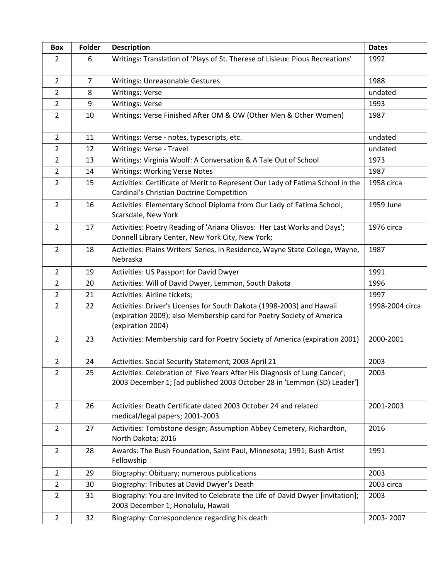| Box            | Folder         | <b>Description</b>                                                                                                                                                  | <b>Dates</b>    |
|----------------|----------------|---------------------------------------------------------------------------------------------------------------------------------------------------------------------|-----------------|
| $\overline{2}$ | 6              | Writings: Translation of 'Plays of St. Therese of Lisieux: Pious Recreations'                                                                                       | 1992            |
| $\overline{2}$ | $\overline{7}$ | Writings: Unreasonable Gestures                                                                                                                                     | 1988            |
| $\overline{2}$ | 8              | <b>Writings: Verse</b>                                                                                                                                              | undated         |
| $\overline{2}$ | 9              | <b>Writings: Verse</b>                                                                                                                                              | 1993            |
| $\overline{2}$ | 10             | Writings: Verse Finished After OM & OW (Other Men & Other Women)                                                                                                    | 1987            |
| $\overline{2}$ | 11             | Writings: Verse - notes, typescripts, etc.                                                                                                                          | undated         |
| $\overline{2}$ | 12             | Writings: Verse - Travel                                                                                                                                            | undated         |
| $\overline{2}$ | 13             | Writings: Virginia Woolf: A Conversation & A Tale Out of School                                                                                                     | 1973            |
| $\overline{2}$ | 14             | <b>Writings: Working Verse Notes</b>                                                                                                                                | 1987            |
| $\overline{2}$ | 15             | Activities: Certificate of Merit to Represent Our Lady of Fatima School in the<br>Cardinal's Christian Doctrine Competition                                         | 1958 circa      |
| $\overline{2}$ | 16             | Activities: Elementary School Diploma from Our Lady of Fatima School,<br>Scarsdale, New York                                                                        | 1959 June       |
| $\overline{2}$ | 17             | Activities: Poetry Reading of 'Ariana Olisvos: Her Last Works and Days';<br>Donnell Library Center, New York City, New York;                                        | 1976 circa      |
| $\overline{2}$ | 18             | Activities: Plains Writers' Series, In Residence, Wayne State College, Wayne,<br>Nebraska                                                                           | 1987            |
| $\overline{2}$ | 19             | Activities: US Passport for David Dwyer                                                                                                                             | 1991            |
| $\overline{2}$ | 20             | Activities: Will of David Dwyer, Lemmon, South Dakota                                                                                                               | 1996            |
| $\overline{2}$ | 21             | Activities: Airline tickets;                                                                                                                                        | 1997            |
| $\overline{2}$ | 22             | Activities: Driver's Licenses for South Dakota (1998-2003) and Hawaii<br>(expiration 2009); also Membership card for Poetry Society of America<br>(expiration 2004) | 1998-2004 circa |
| $\overline{2}$ | 23             | Activities: Membership card for Poetry Society of America (expiration 2001)                                                                                         | 2000-2001       |
| $\overline{2}$ | 24             | Activities: Social Security Statement; 2003 April 21                                                                                                                | 2003            |
| $\overline{2}$ | 25             | Activities: Celebration of 'Five Years After His Diagnosis of Lung Cancer';<br>2003 December 1; [ad published 2003 October 28 in 'Lemmon (SD) Leader']              | 2003            |
| $\overline{2}$ | 26             | Activities: Death Certificate dated 2003 October 24 and related<br>medical/legal papers; 2001-2003                                                                  | 2001-2003       |
| $\overline{2}$ | 27             | Activities: Tombstone design; Assumption Abbey Cemetery, Richardton,<br>North Dakota; 2016                                                                          | 2016            |
| $\overline{2}$ | 28             | Awards: The Bush Foundation, Saint Paul, Minnesota; 1991; Bush Artist<br>Fellowship                                                                                 | 1991            |
| $\overline{2}$ | 29             | Biography: Obituary; numerous publications                                                                                                                          | 2003            |
| $\overline{2}$ | 30             | Biography: Tributes at David Dwyer's Death                                                                                                                          | 2003 circa      |
| $\overline{2}$ | 31             | Biography: You are Invited to Celebrate the Life of David Dwyer [invitation];<br>2003 December 1; Honolulu, Hawaii                                                  | 2003            |
| $\overline{2}$ | 32             | Biography: Correspondence regarding his death                                                                                                                       | 2003-2007       |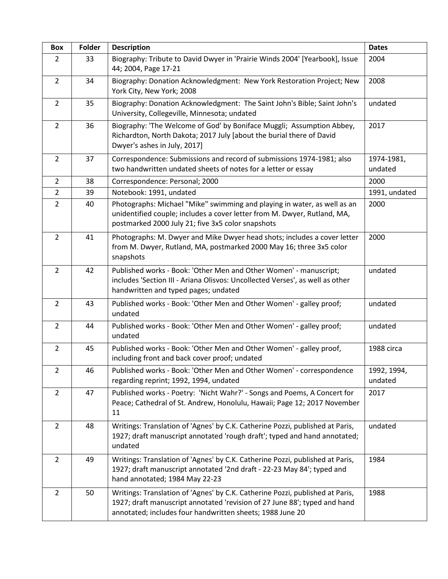| Box            | Folder | <b>Description</b>                                                                                                                                                                                                      | <b>Dates</b>           |
|----------------|--------|-------------------------------------------------------------------------------------------------------------------------------------------------------------------------------------------------------------------------|------------------------|
| $\overline{2}$ | 33     | Biography: Tribute to David Dwyer in 'Prairie Winds 2004' [Yearbook], Issue<br>44; 2004, Page 17-21                                                                                                                     | 2004                   |
| $\overline{2}$ | 34     | Biography: Donation Acknowledgment: New York Restoration Project; New<br>York City, New York; 2008                                                                                                                      | 2008                   |
| $\overline{2}$ | 35     | Biography: Donation Acknowledgment: The Saint John's Bible; Saint John's<br>University, Collegeville, Minnesota; undated                                                                                                | undated                |
| $\overline{2}$ | 36     | Biography: 'The Welcome of God' by Boniface Muggli; Assumption Abbey,<br>Richardton, North Dakota; 2017 July [about the burial there of David<br>Dwyer's ashes in July, 2017]                                           | 2017                   |
| $\overline{2}$ | 37     | Correspondence: Submissions and record of submissions 1974-1981; also<br>two handwritten undated sheets of notes for a letter or essay                                                                                  | 1974-1981,<br>undated  |
| $\overline{2}$ | 38     | Correspondence: Personal; 2000                                                                                                                                                                                          | 2000                   |
| $\overline{2}$ | 39     | Notebook: 1991, undated                                                                                                                                                                                                 | 1991, undated          |
| $\overline{2}$ | 40     | Photographs: Michael "Mike" swimming and playing in water, as well as an<br>unidentified couple; includes a cover letter from M. Dwyer, Rutland, MA,<br>postmarked 2000 July 21; five 3x5 color snapshots               | 2000                   |
| $\overline{2}$ | 41     | Photographs: M. Dwyer and Mike Dwyer head shots; includes a cover letter<br>from M. Dwyer, Rutland, MA, postmarked 2000 May 16; three 3x5 color<br>snapshots                                                            | 2000                   |
| $\overline{2}$ | 42     | Published works - Book: 'Other Men and Other Women' - manuscript;<br>includes 'Section III - Ariana Olisvos: Uncollected Verses', as well as other<br>handwritten and typed pages; undated                              | undated                |
| $\overline{2}$ | 43     | Published works - Book: 'Other Men and Other Women' - galley proof;<br>undated                                                                                                                                          | undated                |
| $\overline{2}$ | 44     | Published works - Book: 'Other Men and Other Women' - galley proof;<br>undated                                                                                                                                          | undated                |
| $\overline{2}$ | 45     | Published works - Book: 'Other Men and Other Women' - galley proof,<br>including front and back cover proof; undated                                                                                                    | 1988 circa             |
| $\overline{2}$ | 46     | Published works - Book: 'Other Men and Other Women' - correspondence<br>regarding reprint; 1992, 1994, undated                                                                                                          | 1992, 1994,<br>undated |
| $\overline{2}$ | 47     | Published works - Poetry: 'Nicht Wahr?' - Songs and Poems, A Concert for<br>Peace; Cathedral of St. Andrew, Honolulu, Hawaii; Page 12; 2017 November<br>11                                                              | 2017                   |
| $\overline{2}$ | 48     | Writings: Translation of 'Agnes' by C.K. Catherine Pozzi, published at Paris,<br>1927; draft manuscript annotated 'rough draft'; typed and hand annotated;<br>undated                                                   | undated                |
| $\overline{2}$ | 49     | Writings: Translation of 'Agnes' by C.K. Catherine Pozzi, published at Paris,<br>1927; draft manuscript annotated '2nd draft - 22-23 May 84'; typed and<br>hand annotated; 1984 May 22-23                               | 1984                   |
| $2^{\circ}$    | 50     | Writings: Translation of 'Agnes' by C.K. Catherine Pozzi, published at Paris,<br>1927; draft manuscript annotated 'revision of 27 June 88'; typed and hand<br>annotated; includes four handwritten sheets; 1988 June 20 | 1988                   |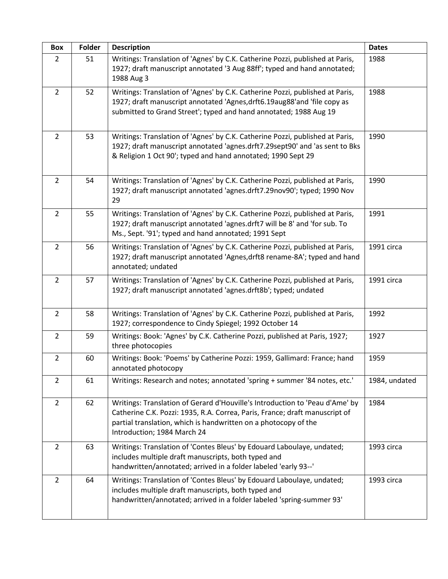| Box            | Folder | <b>Description</b>                                                                                                                                                                                                                                            | <b>Dates</b>  |
|----------------|--------|---------------------------------------------------------------------------------------------------------------------------------------------------------------------------------------------------------------------------------------------------------------|---------------|
| $\overline{2}$ | 51     | Writings: Translation of 'Agnes' by C.K. Catherine Pozzi, published at Paris,<br>1927; draft manuscript annotated '3 Aug 88ff'; typed and hand annotated;<br>1988 Aug 3                                                                                       | 1988          |
| $\overline{2}$ | 52     | Writings: Translation of 'Agnes' by C.K. Catherine Pozzi, published at Paris,<br>1927; draft manuscript annotated 'Agnes, drft6.19aug88' and 'file copy as<br>submitted to Grand Street'; typed and hand annotated; 1988 Aug 19                               | 1988          |
| $\overline{2}$ | 53     | Writings: Translation of 'Agnes' by C.K. Catherine Pozzi, published at Paris,<br>1927; draft manuscript annotated 'agnes.drft7.29sept90' and 'as sent to Bks<br>& Religion 1 Oct 90'; typed and hand annotated; 1990 Sept 29                                  | 1990          |
| $\overline{2}$ | 54     | Writings: Translation of 'Agnes' by C.K. Catherine Pozzi, published at Paris,<br>1927; draft manuscript annotated 'agnes.drft7.29nov90'; typed; 1990 Nov<br>29                                                                                                | 1990          |
| $\overline{2}$ | 55     | Writings: Translation of 'Agnes' by C.K. Catherine Pozzi, published at Paris,<br>1927; draft manuscript annotated 'agnes.drft7 will be 8' and 'for sub. To<br>Ms., Sept. '91'; typed and hand annotated; 1991 Sept                                            | 1991          |
| $\overline{2}$ | 56     | Writings: Translation of 'Agnes' by C.K. Catherine Pozzi, published at Paris,<br>1927; draft manuscript annotated 'Agnes, drft8 rename-8A'; typed and hand<br>annotated; undated                                                                              | 1991 circa    |
| $\overline{2}$ | 57     | Writings: Translation of 'Agnes' by C.K. Catherine Pozzi, published at Paris,<br>1927; draft manuscript annotated 'agnes.drft8b'; typed; undated                                                                                                              | 1991 circa    |
| $\overline{2}$ | 58     | Writings: Translation of 'Agnes' by C.K. Catherine Pozzi, published at Paris,<br>1927; correspondence to Cindy Spiegel; 1992 October 14                                                                                                                       | 1992          |
| $\overline{2}$ | 59     | Writings: Book: 'Agnes' by C.K. Catherine Pozzi, published at Paris, 1927;<br>three photocopies                                                                                                                                                               | 1927          |
| $\overline{2}$ | 60     | Writings: Book: 'Poems' by Catherine Pozzi: 1959, Gallimard: France; hand<br>annotated photocopy                                                                                                                                                              | 1959          |
| $\overline{2}$ | 61     | Writings: Research and notes; annotated 'spring + summer '84 notes, etc.'                                                                                                                                                                                     | 1984, undated |
| $\overline{2}$ | 62     | Writings: Translation of Gerard d'Houville's Introduction to 'Peau d'Ame' by<br>Catherine C.K. Pozzi: 1935, R.A. Correa, Paris, France; draft manuscript of<br>partial translation, which is handwritten on a photocopy of the<br>Introduction; 1984 March 24 | 1984          |
| $\overline{2}$ | 63     | Writings: Translation of 'Contes Bleus' by Edouard Laboulaye, undated;<br>includes multiple draft manuscripts, both typed and<br>handwritten/annotated; arrived in a folder labeled 'early 93--'                                                              | 1993 circa    |
| $\overline{2}$ | 64     | Writings: Translation of 'Contes Bleus' by Edouard Laboulaye, undated;<br>includes multiple draft manuscripts, both typed and<br>handwritten/annotated; arrived in a folder labeled 'spring-summer 93'                                                        | 1993 circa    |